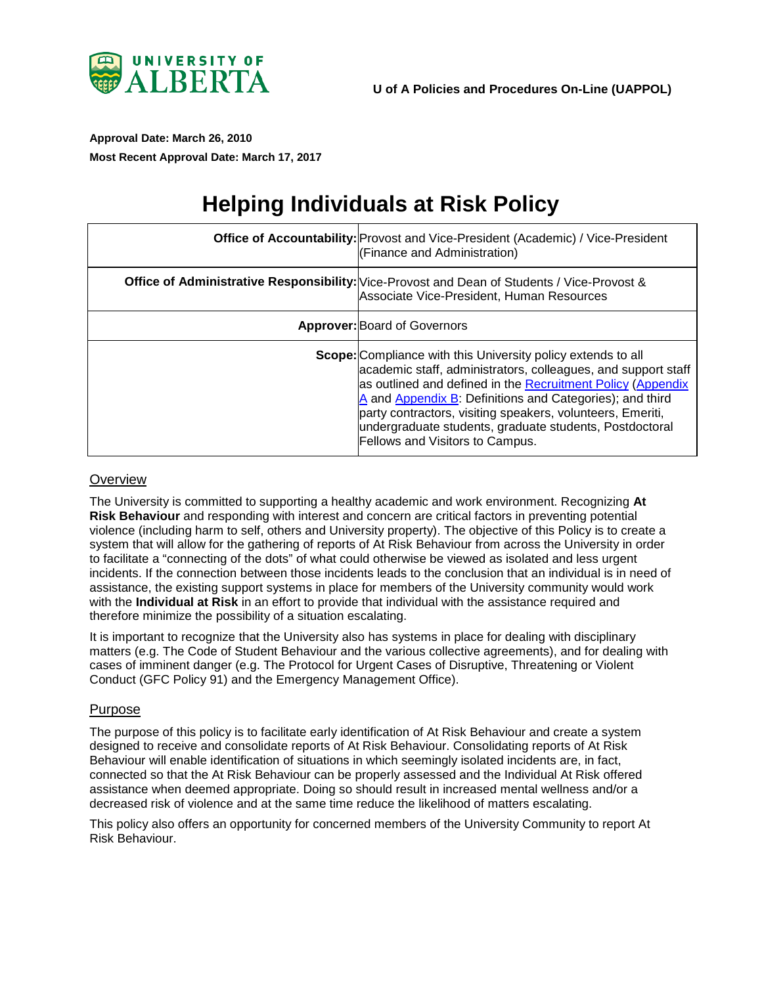

<span id="page-0-0"></span>**Approval Date: March 26, 2010 Most Recent Approval Date: March 17, 2017**

# **Helping Individuals at Risk Policy**

| <b>Office of Accountability:</b> Provost and Vice-President (Academic) / Vice-President<br>(Finance and Administration)                                                                                                                                                                                                                                                                                                     |
|-----------------------------------------------------------------------------------------------------------------------------------------------------------------------------------------------------------------------------------------------------------------------------------------------------------------------------------------------------------------------------------------------------------------------------|
| Office of Administrative Responsibility: Vice-Provost and Dean of Students / Vice-Provost &<br>Associate Vice-President, Human Resources                                                                                                                                                                                                                                                                                    |
| <b>Approver:</b> Board of Governors                                                                                                                                                                                                                                                                                                                                                                                         |
| <b>Scope:</b> Compliance with this University policy extends to all<br>academic staff, administrators, colleagues, and support staff<br>as outlined and defined in the Recruitment Policy (Appendix<br>A and Appendix B: Definitions and Categories); and third<br>party contractors, visiting speakers, volunteers, Emeriti,<br>undergraduate students, graduate students, Postdoctoral<br>Fellows and Visitors to Campus. |

#### **Overview**

The University is committed to supporting a healthy academic and work environment. Recognizing **At Risk Behaviour** and responding with interest and concern are critical factors in preventing potential violence (including harm to self, others and University property). The objective of this Policy is to create a system that will allow for the gathering of reports of At Risk Behaviour from across the University in order to facilitate a "connecting of the dots" of what could otherwise be viewed as isolated and less urgent incidents. If the connection between those incidents leads to the conclusion that an individual is in need of assistance, the existing support systems in place for members of the University community would work with the **Individual at Risk** in an effort to provide that individual with the assistance required and therefore minimize the possibility of a situation escalating.

It is important to recognize that the University also has systems in place for dealing with disciplinary matters (e.g. The Code of Student Behaviour and the various collective agreements), and for dealing with cases of imminent danger (e.g. The Protocol for Urgent Cases of Disruptive, Threatening or Violent Conduct (GFC Policy 91) and the Emergency Management Office).

### Purpose

The purpose of this policy is to facilitate early identification of At Risk Behaviour and create a system designed to receive and consolidate reports of At Risk Behaviour. Consolidating reports of At Risk Behaviour will enable identification of situations in which seemingly isolated incidents are, in fact, connected so that the At Risk Behaviour can be properly assessed and the Individual At Risk offered assistance when deemed appropriate. Doing so should result in increased mental wellness and/or a decreased risk of violence and at the same time reduce the likelihood of matters escalating.

This policy also offers an opportunity for concerned members of the University Community to report At Risk Behaviour.